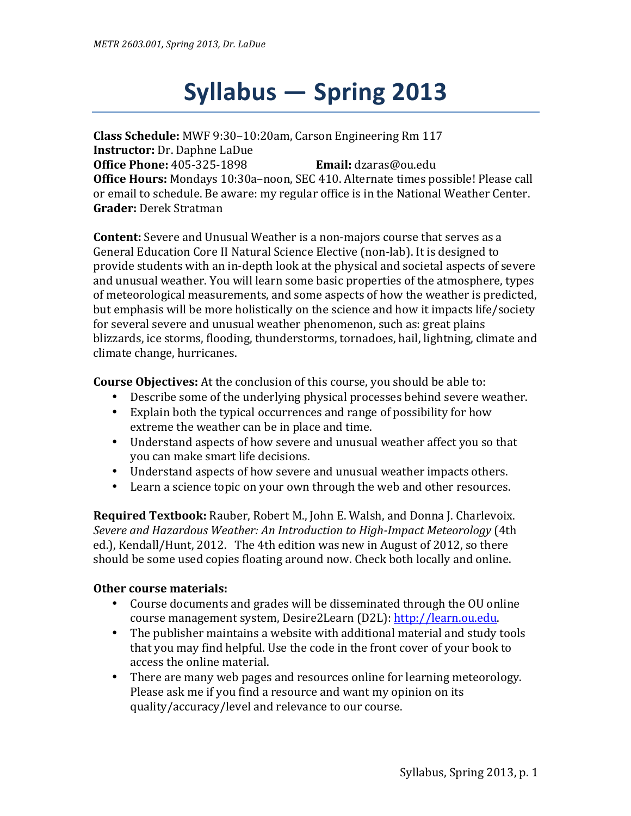# **Syllabus — Spring 2013**

**Class Schedule:** MWF 9:30–10:20am, Carson Engineering Rm 117 **Instructor:** Dr. Daphne LaDue **Office Phone:** 405-325-1898 **Email:** dzaras@ou.edu **Office Hours:** Mondays 10:30a–noon, SEC 410. Alternate times possible! Please call or email to schedule. Be aware: my regular office is in the National Weather Center. **Grader:** Derek Stratman

**Content:** Severe and Unusual Weather is a non-majors course that serves as a General Education Core II Natural Science Elective (non-lab). It is designed to provide students with an in-depth look at the physical and societal aspects of severe and unusual weather. You will learn some basic properties of the atmosphere, types of meteorological measurements, and some aspects of how the weather is predicted, but emphasis will be more holistically on the science and how it impacts life/society for several severe and unusual weather phenomenon, such as: great plains blizzards, ice storms, flooding, thunderstorms, tornadoes, hail, lightning, climate and climate change, hurricanes.

**Course Objectives:** At the conclusion of this course, you should be able to:

- Describe some of the underlying physical processes behind severe weather.
- Explain both the typical occurrences and range of possibility for how extreme the weather can be in place and time.
- Understand aspects of how severe and unusual weather affect you so that you can make smart life decisions.
- Understand aspects of how severe and unusual weather impacts others.
- Learn a science topic on your own through the web and other resources.

**Required Textbook:** Rauber, Robert M., John E. Walsh, and Donna J. Charlevoix. *Severe and Hazardous Weather: An Introduction to High-Impact Meteorology* (4th ed.), Kendall/Hunt, 2012. The 4th edition was new in August of 2012, so there should be some used copies floating around now. Check both locally and online.

#### **Other course materials:**

- Course documents and grades will be disseminated through the OU online course management system, Desire2Learn (D2L): http://learn.ou.edu.
- The publisher maintains a website with additional material and study tools that you may find helpful. Use the code in the front cover of your book to access the online material.
- There are many web pages and resources online for learning meteorology. Please ask me if you find a resource and want my opinion on its quality/accuracy/level and relevance to our course.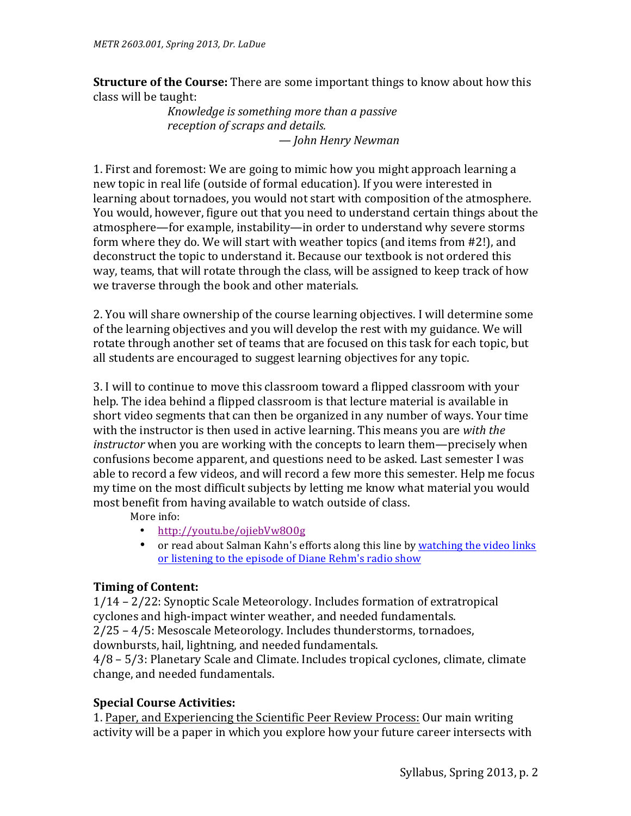**Structure of the Course:** There are some important things to know about how this class will be taught:

*Knowledge is something more than a passive reception of scraps and details. — John Henry Newman*

1. First and foremost: We are going to mimic how you might approach learning a new topic in real life (outside of formal education). If you were interested in learning about tornadoes, you would not start with composition of the atmosphere. You would, however, figure out that you need to understand certain things about the atmosphere—for example, instability—in order to understand why severe storms form where they do. We will start with weather topics (and items from #2!), and deconstruct the topic to understand it. Because our textbook is not ordered this way, teams, that will rotate through the class, will be assigned to keep track of how we traverse through the book and other materials.

2. You will share ownership of the course learning objectives. I will determine some of the learning objectives and you will develop the rest with my guidance. We will rotate through another set of teams that are focused on this task for each topic, but all students are encouraged to suggest learning objectives for any topic.

3. I will to continue to move this classroom toward a flipped classroom with your help. The idea behind a flipped classroom is that lecture material is available in short video segments that can then be organized in any number of ways. Your time with the instructor is then used in active learning. This means you are *with the instructor* when you are working with the concepts to learn them—precisely when confusions become apparent, and questions need to be asked. Last semester I was able to record a few videos, and will record a few more this semester. Help me focus my time on the most difficult subjects by letting me know what material you would most benefit from having available to watch outside of class.

More info:

- http://youtu.be/ojiebVw8O0g
- or read about Salman Kahn's efforts along this line by watching the video links or listening to the episode of Diane Rehm's radio show

### **Timing of Content:**

 $1/14 - 2/22$ : Synoptic Scale Meteorology. Includes formation of extratropical cyclones and high-impact winter weather, and needed fundamentals.  $2/25 - 4/5$ : Mesoscale Meteorology. Includes thunderstorms, tornadoes, downbursts, hail, lightning, and needed fundamentals.

 $4/8 - 5/3$ : Planetary Scale and Climate. Includes tropical cyclones, climate, climate change, and needed fundamentals.

### **Special Course Activities:**

1. Paper, and Experiencing the Scientific Peer Review Process: Our main writing activity will be a paper in which you explore how your future career intersects with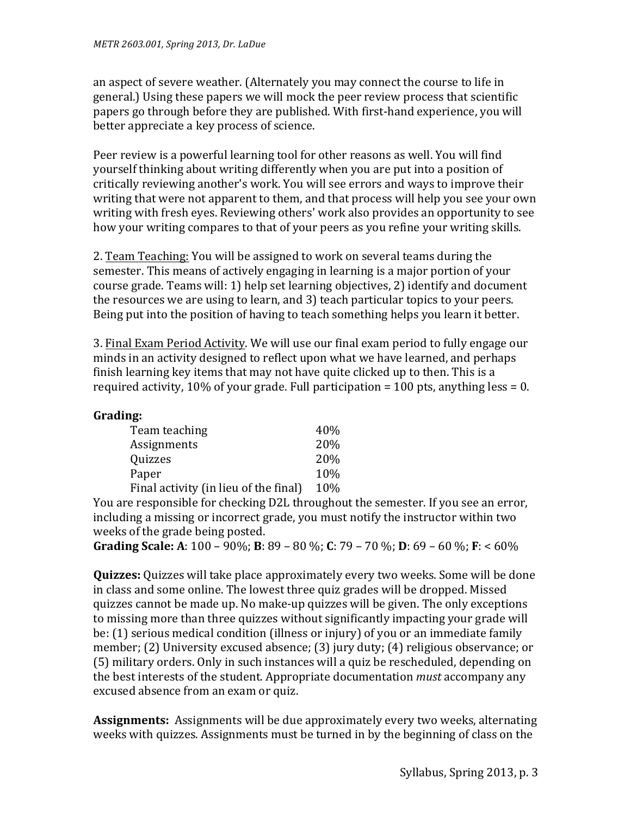an aspect of severe weather. (Alternately you may connect the course to life in general.) Using these papers we will mock the peer review process that scientific papers go through before they are published. With first-hand experience, you will better appreciate a key process of science.

Peer review is a powerful learning tool for other reasons as well. You will find yourself thinking about writing differently when you are put into a position of critically reviewing another's work. You will see errors and ways to improve their writing that were not apparent to them, and that process will help you see your own writing with fresh eyes. Reviewing others' work also provides an opportunity to see how your writing compares to that of your peers as you refine your writing skills.

2. Team Teaching: You will be assigned to work on several teams during the semester. This means of actively engaging in learning is a major portion of your course grade. Teams will: 1) help set learning objectives, 2) identify and document the resources we are using to learn, and 3) teach particular topics to your peers. Being put into the position of having to teach something helps you learn it better.

3. Final Exam Period Activity. We will use our final exam period to fully engage our minds in an activity designed to reflect upon what we have learned, and perhaps finish learning key items that may not have quite clicked up to then. This is a required activity, 10% of your grade. Full participation = 100 pts, anything less = 0.

## **Grading:**

| Team teaching                         | 40\%       |
|---------------------------------------|------------|
| Assignments                           | 20%        |
| Quizzes                               | <b>20%</b> |
| Paper                                 | 10%        |
| Final activity (in lieu of the final) | 10%        |

You are responsible for checking D2L throughout the semester. If you see an error, including a missing or incorrect grade, you must notify the instructor within two weeks of the grade being posted.

**Grading Scale:** A: 100 – 90%; B: 89 – 80 %; C: 79 – 70 %; D: 69 – 60 %; F: < 60%

**Quizzes:** Quizzes will take place approximately every two weeks. Some will be done in class and some online. The lowest three quiz grades will be dropped. Missed quizzes cannot be made up. No make-up quizzes will be given. The only exceptions to missing more than three quizzes without significantly impacting your grade will be: (1) serious medical condition (illness or injury) of you or an immediate family member; (2) University excused absence; (3) jury duty; (4) religious observance; or (5) military orders. Only in such instances will a quiz be rescheduled, depending on the best interests of the student. Appropriate documentation *must* accompany any excused absence from an exam or quiz.

**Assignments:** Assignments will be due approximately every two weeks, alternating weeks with quizzes. Assignments must be turned in by the beginning of class on the